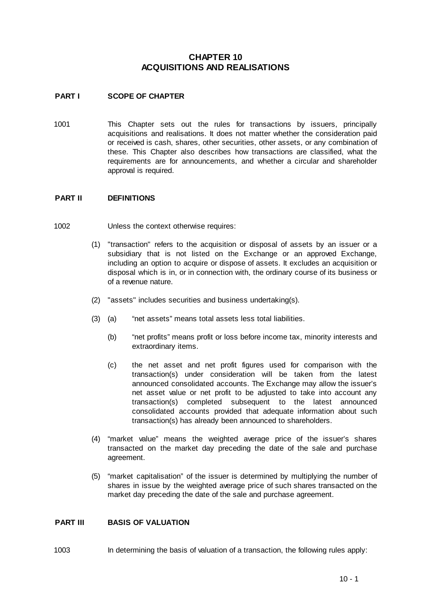# **CHAPTER 10 ACQUISITIONS AND REALISATIONS**

## **PART I SCOPE OF CHAPTER**

1001 This Chapter sets out the rules for transactions by issuers, principally acquisitions and realisations. It does not matter whether the consideration paid or received is cash, shares, other securities, other assets, or any combination of these. This Chapter also describes how transactions are classified, what the requirements are for announcements, and whether a circular and shareholder approval is required.

#### **PART II DEFINITIONS**

- 1002 Unless the context otherwise requires:
	- (1) "transaction" refers to the acquisition or disposal of assets by an issuer or a subsidiary that is not listed on the Exchange or an approved Exchange, including an option to acquire or dispose of assets. It excludes an acquisition or disposal which is in, or in connection with, the ordinary course of its business or of a revenue nature.
	- (2) "assets" includes securities and business undertaking(s).
	- (3) (a) "net assets" means total assets less total liabilities.
		- (b) "net profits" means profit or loss before income tax, minority interests and extraordinary items.
		- (c) the net asset and net profit figures used for comparison with the transaction(s) under consideration will be taken from the latest announced consolidated accounts. The Exchange may allow the issuer's net asset value or net profit to be adjusted to take into account any transaction(s) completed subsequent to the latest announced consolidated accounts provided that adequate information about such transaction(s) has already been announced to shareholders.
	- (4) "market value" means the weighted average price of the issuer's shares transacted on the market day preceding the date of the sale and purchase agreement.
	- (5) "market capitalisation" of the issuer is determined by multiplying the number of shares in issue by the weighted average price of such shares transacted on the market day preceding the date of the sale and purchase agreement.

#### **PART III BASIS OF VALUATION**

1003 In determining the basis of valuation of a transaction, the following rules apply: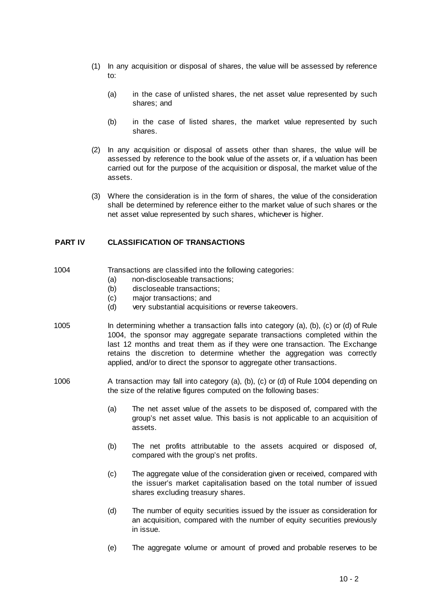- (1) In any acquisition or disposal of shares, the value will be assessed by reference to:
	- (a) in the case of unlisted shares, the net asset value represented by such shares; and
	- (b) in the case of listed shares, the market value represented by such shares.
- (2) In any acquisition or disposal of assets other than shares, the value will be assessed by reference to the book value of the assets or, if a valuation has been carried out for the purpose of the acquisition or disposal, the market value of the assets.
- (3) Where the consideration is in the form of shares, the value of the consideration shall be determined by reference either to the market value of such shares or the net asset value represented by such shares, whichever is higher.

## **PART IV CLASSIFICATION OF TRANSACTIONS**

- 1004 Transactions are classified into the following categories:
	- (a) non-discloseable transactions;
	- (b) discloseable transactions;
	- (c) major transactions; and
	- (d) very substantial acquisitions or reverse takeovers.
- 1005 In determining whether a transaction falls into category (a), (b), (c) or (d) of Rule 1004, the sponsor may aggregate separate transactions completed within the last 12 months and treat them as if they were one transaction. The Exchange retains the discretion to determine whether the aggregation was correctly applied, and/or to direct the sponsor to aggregate other transactions.
- 1006 A transaction may fall into category (a), (b), (c) or (d) of Rule 1004 depending on the size of the relative figures computed on the following bases:
	- (a) The net asset value of the assets to be disposed of, compared with the group's net asset value. This basis is not applicable to an acquisition of assets.
	- (b) The net profits attributable to the assets acquired or disposed of, compared with the group's net profits.
	- (c) The aggregate value of the consideration given or received, compared with the issuer's market capitalisation based on the total number of issued shares excluding treasury shares.
	- (d) The number of equity securities issued by the issuer as consideration for an acquisition, compared with the number of equity securities previously in issue.
	- (e) The aggregate volume or amount of proved and probable reserves to be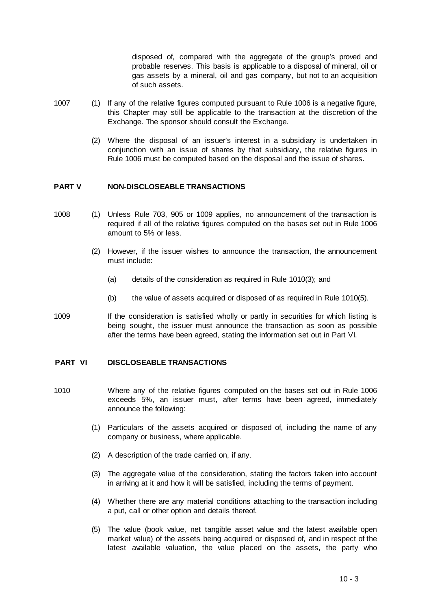disposed of, compared with the aggregate of the group's proved and probable reserves. This basis is applicable to a disposal of mineral, oil or gas assets by a mineral, oil and gas company, but not to an acquisition of such assets.

- 1007 (1) If any of the relative figures computed pursuant to Rule 1006 is a negative figure, this Chapter may still be applicable to the transaction at the discretion of the Exchange. The sponsor should consult the Exchange.
	- (2) Where the disposal of an issuer's interest in a subsidiary is undertaken in conjunction with an issue of shares by that subsidiary, the relative figures in Rule 1006 must be computed based on the disposal and the issue of shares.

## **PART V NON-DISCLOSEABLE TRANSACTIONS**

- 1008 (1) Unless Rule 703, 905 or 1009 applies, no announcement of the transaction is required if all of the relative figures computed on the bases set out in Rule 1006 amount to 5% or less.
	- (2) However, if the issuer wishes to announce the transaction, the announcement must include:
		- (a) details of the consideration as required in Rule 1010(3); and
		- (b) the value of assets acquired or disposed of as required in Rule 1010(5).
- 1009 If the consideration is satisfied wholly or partly in securities for which listing is being sought, the issuer must announce the transaction as soon as possible after the terms have been agreed, stating the information set out in Part VI.

#### **PART VI DISCLOSEABLE TRANSACTIONS**

- 1010 Where any of the relative figures computed on the bases set out in Rule 1006 exceeds 5%, an issuer must, after terms have been agreed, immediately announce the following:
	- (1) Particulars of the assets acquired or disposed of, including the name of any company or business, where applicable.
	- (2) A description of the trade carried on, if any.
	- (3) The aggregate value of the consideration, stating the factors taken into account in arriving at it and how it will be satisfied, including the terms of payment.
	- (4) Whether there are any material conditions attaching to the transaction including a put, call or other option and details thereof.
	- (5) The value (book value, net tangible asset value and the latest available open market value) of the assets being acquired or disposed of, and in respect of the latest available valuation, the value placed on the assets, the party who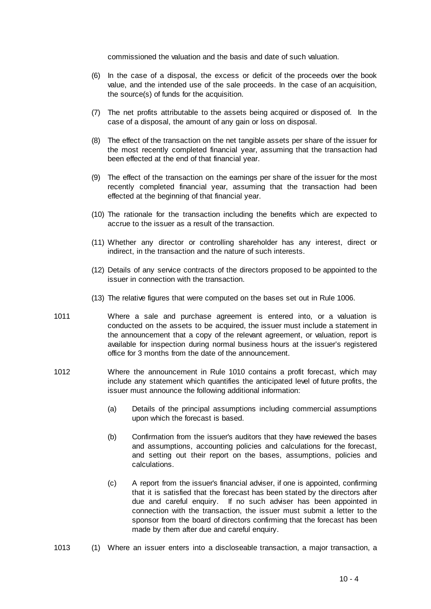commissioned the valuation and the basis and date of such valuation.

- (6) In the case of a disposal, the excess or deficit of the proceeds over the book value, and the intended use of the sale proceeds. In the case of an acquisition, the source(s) of funds for the acquisition.
- (7) The net profits attributable to the assets being acquired or disposed of. In the case of a disposal, the amount of any gain or loss on disposal.
- (8) The effect of the transaction on the net tangible assets per share of the issuer for the most recently completed financial year, assuming that the transaction had been effected at the end of that financial year.
- (9) The effect of the transaction on the earnings per share of the issuer for the most recently completed financial year, assuming that the transaction had been effected at the beginning of that financial year.
- (10) The rationale for the transaction including the benefits which are expected to accrue to the issuer as a result of the transaction.
- (11) Whether any director or controlling shareholder has any interest, direct or indirect, in the transaction and the nature of such interests.
- (12) Details of any service contracts of the directors proposed to be appointed to the issuer in connection with the transaction.
- (13) The relative figures that were computed on the bases set out in Rule 1006.
- 1011 Where a sale and purchase agreement is entered into, or a valuation is conducted on the assets to be acquired, the issuer must include a statement in the announcement that a copy of the relevant agreement, or valuation, report is available for inspection during normal business hours at the issuer's registered office for 3 months from the date of the announcement.
- 1012 Where the announcement in Rule 1010 contains a profit forecast, which may include any statement which quantifies the anticipated level of future profits, the issuer must announce the following additional information:
	- (a) Details of the principal assumptions including commercial assumptions upon which the forecast is based.
	- (b) Confirmation from the issuer's auditors that they have reviewed the bases and assumptions, accounting policies and calculations for the forecast, and setting out their report on the bases, assumptions, policies and calculations.
	- (c) A report from the issuer's financial adviser, if one is appointed, confirming that it is satisfied that the forecast has been stated by the directors after due and careful enquiry. If no such adviser has been appointed in connection with the transaction, the issuer must submit a letter to the sponsor from the board of directors confirming that the forecast has been made by them after due and careful enquiry.
- 1013 (1) Where an issuer enters into a discloseable transaction, a major transaction, a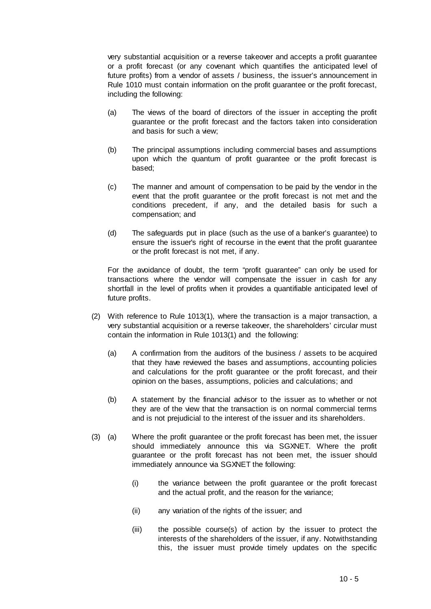very substantial acquisition or a reverse takeover and accepts a profit guarantee or a profit forecast (or any covenant which quantifies the anticipated level of future profits) from a vendor of assets / business, the issuer's announcement in Rule 1010 must contain information on the profit guarantee or the profit forecast, including the following:

- (a) The views of the board of directors of the issuer in accepting the profit guarantee or the profit forecast and the factors taken into consideration and basis for such a view;
- (b) The principal assumptions including commercial bases and assumptions upon which the quantum of profit guarantee or the profit forecast is based;
- (c) The manner and amount of compensation to be paid by the vendor in the event that the profit guarantee or the profit forecast is not met and the conditions precedent, if any, and the detailed basis for such a compensation; and
- (d) The safeguards put in place (such as the use of a banker's guarantee) to ensure the issuer's right of recourse in the event that the profit guarantee or the profit forecast is not met, if any.

For the avoidance of doubt, the term "profit guarantee" can only be used for transactions where the vendor will compensate the issuer in cash for any shortfall in the level of profits when it provides a quantifiable anticipated level of future profits.

- (2) With reference to Rule 1013(1), where the transaction is a major transaction, a very substantial acquisition or a reverse takeover, the shareholders' circular must contain the information in Rule 1013(1) and the following:
	- (a) A confirmation from the auditors of the business / assets to be acquired that they have reviewed the bases and assumptions, accounting policies and calculations for the profit guarantee or the profit forecast, and their opinion on the bases, assumptions, policies and calculations; and
	- (b) A statement by the financial advisor to the issuer as to whether or not they are of the view that the transaction is on normal commercial terms and is not prejudicial to the interest of the issuer and its shareholders.
- (3) (a) Where the profit guarantee or the profit forecast has been met, the issuer should immediately announce this via SGXNET. Where the profit guarantee or the profit forecast has not been met, the issuer should immediately announce via SGXNET the following:
	- (i) the variance between the profit guarantee or the profit forecast and the actual profit, and the reason for the variance;
	- (ii) any variation of the rights of the issuer; and
	- (iii) the possible course(s) of action by the issuer to protect the interests of the shareholders of the issuer, if any. Notwithstanding this, the issuer must provide timely updates on the specific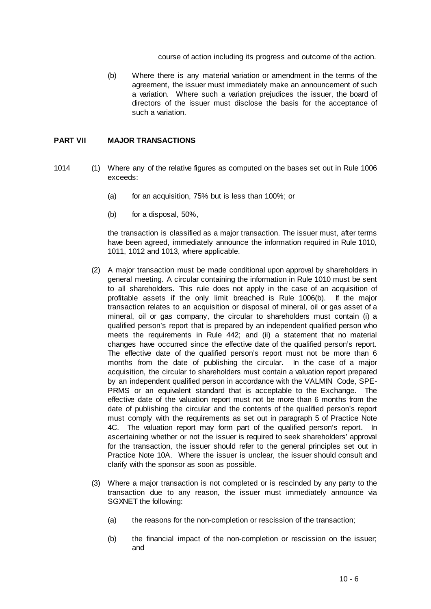course of action including its progress and outcome of the action.

(b) Where there is any material variation or amendment in the terms of the agreement, the issuer must immediately make an announcement of such a variation. Where such a variation prejudices the issuer, the board of directors of the issuer must disclose the basis for the acceptance of such a variation.

### **PART VII MAJOR TRANSACTIONS**

- 1014 (1) Where any of the relative figures as computed on the bases set out in Rule 1006 exceeds:
	- (a) for an acquisition, 75% but is less than 100%; or
	- (b) for a disposal, 50%,

the transaction is classified as a major transaction. The issuer must, after terms have been agreed, immediately announce the information required in Rule 1010, 1011, 1012 and 1013, where applicable.

- (2) A major transaction must be made conditional upon approval by shareholders in general meeting. A circular containing the information in Rule 1010 must be sent to all shareholders. This rule does not apply in the case of an acquisition of profitable assets if the only limit breached is Rule 1006(b). If the major transaction relates to an acquisition or disposal of mineral, oil or gas asset of a mineral, oil or gas company, the circular to shareholders must contain (i) a qualified person's report that is prepared by an independent qualified person who meets the requirements in Rule 442; and (ii) a statement that no material changes have occurred since the effective date of the qualified person's report. The effective date of the qualified person's report must not be more than 6 months from the date of publishing the circular. In the case of a major acquisition, the circular to shareholders must contain a valuation report prepared by an independent qualified person in accordance with the VALMIN Code, SPE-PRMS or an equivalent standard that is acceptable to the Exchange. The effective date of the valuation report must not be more than 6 months from the date of publishing the circular and the contents of the qualified person's report must comply with the requirements as set out in paragraph 5 of Practice Note 4C. The valuation report may form part of the qualified person's report. In ascertaining whether or not the issuer is required to seek shareholders' approval for the transaction, the issuer should refer to the general principles set out in Practice Note 10A. Where the issuer is unclear, the issuer should consult and clarify with the sponsor as soon as possible.
- (3) Where a major transaction is not completed or is rescinded by any party to the transaction due to any reason, the issuer must immediately announce via SGXNET the following:
	- (a) the reasons for the non-completion or rescission of the transaction;
	- (b) the financial impact of the non-completion or rescission on the issuer; and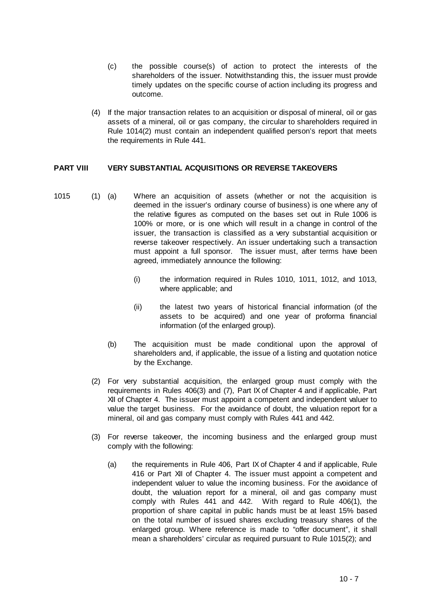- (c) the possible course(s) of action to protect the interests of the shareholders of the issuer. Notwithstanding this, the issuer must provide timely updates on the specific course of action including its progress and outcome.
- (4) If the major transaction relates to an acquisition or disposal of mineral, oil or gas assets of a mineral, oil or gas company, the circular to shareholders required in Rule 1014(2) must contain an independent qualified person's report that meets the requirements in Rule 441.

#### **PART VIII VERY SUBSTANTIAL ACQUISITIONS OR REVERSE TAKEOVERS**

- 1015 (1) (a) Where an acquisition of assets (whether or not the acquisition is deemed in the issuer's ordinary course of business) is one where any of the relative figures as computed on the bases set out in Rule 1006 is 100% or more, or is one which will result in a change in control of the issuer, the transaction is classified as a very substantial acquisition or reverse takeover respectively. An issuer undertaking such a transaction must appoint a full sponsor. The issuer must, after terms have been agreed, immediately announce the following:
	- (i) the information required in Rules 1010, 1011, 1012, and 1013, where applicable; and
	- (ii) the latest two years of historical financial information (of the assets to be acquired) and one year of proforma financial information (of the enlarged group).
	- (b) The acquisition must be made conditional upon the approval of shareholders and, if applicable, the issue of a listing and quotation notice by the Exchange.
	- (2) For very substantial acquisition, the enlarged group must comply with the requirements in Rules 406(3) and (7), Part IX of Chapter 4 and if applicable, Part XII of Chapter 4. The issuer must appoint a competent and independent valuer to value the target business. For the avoidance of doubt, the valuation report for a mineral, oil and gas company must comply with Rules 441 and 442.
	- (3) For reverse takeover, the incoming business and the enlarged group must comply with the following:
		- (a) the requirements in Rule 406, Part IX of Chapter 4 and if applicable, Rule 416 or Part XII of Chapter 4. The issuer must appoint a competent and independent valuer to value the incoming business. For the avoidance of doubt, the valuation report for a mineral, oil and gas company must comply with Rules 441 and 442. With regard to Rule 406(1), the proportion of share capital in public hands must be at least 15% based on the total number of issued shares excluding treasury shares of the enlarged group. Where reference is made to "offer document", it shall mean a shareholders' circular as required pursuant to Rule 1015(2); and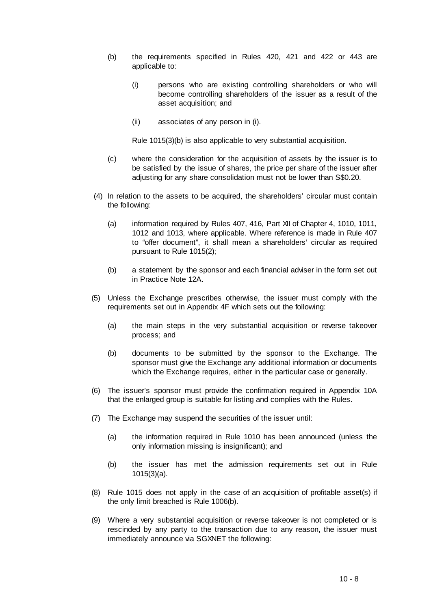- (b) the requirements specified in Rules 420, 421 and 422 or 443 are applicable to:
	- (i) persons who are existing controlling shareholders or who will become controlling shareholders of the issuer as a result of the asset acquisition; and
	- (ii) associates of any person in (i).

Rule 1015(3)(b) is also applicable to very substantial acquisition.

- (c) where the consideration for the acquisition of assets by the issuer is to be satisfied by the issue of shares, the price per share of the issuer after adjusting for any share consolidation must not be lower than S\$0.20.
- ((4) In relation to the assets to be acquired, the shareholders' circular must contain the following:
	- (a) information required by Rules 407, 416, Part XII of Chapter 4, 1010, 1011, 1012 and 1013, where applicable. Where reference is made in Rule 407 to "offer document", it shall mean a shareholders' circular as required pursuant to Rule 1015(2);
	- (b) a statement by the sponsor and each financial adviser in the form set out in Practice Note 12A.
- (5) Unless the Exchange prescribes otherwise, the issuer must comply with the requirements set out in Appendix 4F which sets out the following:
	- (a) the main steps in the very substantial acquisition or reverse takeover process; and
	- (b) documents to be submitted by the sponsor to the Exchange. The sponsor must give the Exchange any additional information or documents which the Exchange requires, either in the particular case or generally.
- (6) The issuer's sponsor must provide the confirmation required in Appendix 10A that the enlarged group is suitable for listing and complies with the Rules.
- (7) The Exchange may suspend the securities of the issuer until:
	- (a) the information required in Rule 1010 has been announced (unless the only information missing is insignificant); and
	- (b) the issuer has met the admission requirements set out in Rule 1015(3)(a).
- (8) Rule 1015 does not apply in the case of an acquisition of profitable asset(s) if the only limit breached is Rule 1006(b).
- (9) Where a very substantial acquisition or reverse takeover is not completed or is rescinded by any party to the transaction due to any reason, the issuer must immediately announce via SGXNET the following: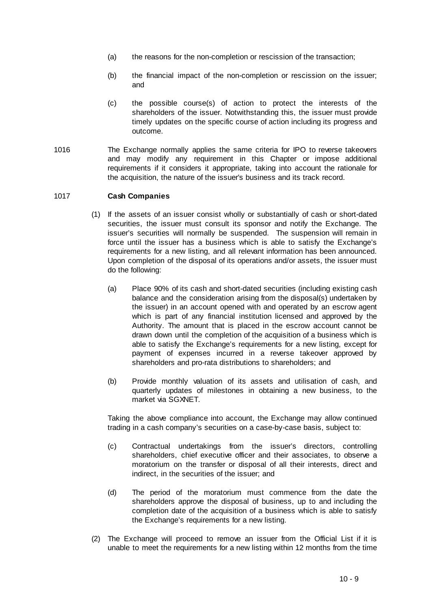- (a) the reasons for the non-completion or rescission of the transaction;
- (b) the financial impact of the non-completion or rescission on the issuer; and
- (c) the possible course(s) of action to protect the interests of the shareholders of the issuer. Notwithstanding this, the issuer must provide timely updates on the specific course of action including its progress and outcome.
- 1016 The Exchange normally applies the same criteria for IPO to reverse takeovers and may modify any requirement in this Chapter or impose additional requirements if it considers it appropriate, taking into account the rationale for the acquisition, the nature of the issuer's business and its track record.

#### 1017 **Cash Companies**

- (1) If the assets of an issuer consist wholly or substantially of cash or short-dated securities, the issuer must consult its sponsor and notify the Exchange. The issuer's securities will normally be suspended. The suspension will remain in force until the issuer has a business which is able to satisfy the Exchange's requirements for a new listing, and all relevant information has been announced. Upon completion of the disposal of its operations and/or assets, the issuer must do the following:
	- (a) Place 90% of its cash and short-dated securities (including existing cash balance and the consideration arising from the disposal(s) undertaken by the issuer) in an account opened with and operated by an escrow agent which is part of any financial institution licensed and approved by the Authority. The amount that is placed in the escrow account cannot be drawn down until the completion of the acquisition of a business which is able to satisfy the Exchange's requirements for a new listing, except for payment of expenses incurred in a reverse takeover approved by shareholders and pro-rata distributions to shareholders; and
	- (b) Provide monthly valuation of its assets and utilisation of cash, and quarterly updates of milestones in obtaining a new business, to the market via SGXNET.

Taking the above compliance into account, the Exchange may allow continued trading in a cash company's securities on a case-by-case basis, subject to:

- (c) Contractual undertakings from the issuer's directors, controlling shareholders, chief executive officer and their associates, to observe a moratorium on the transfer or disposal of all their interests, direct and indirect, in the securities of the issuer; and
- (d) The period of the moratorium must commence from the date the shareholders approve the disposal of business, up to and including the completion date of the acquisition of a business which is able to satisfy the Exchange's requirements for a new listing.
- (2) The Exchange will proceed to remove an issuer from the Official List if it is unable to meet the requirements for a new listing within 12 months from the time